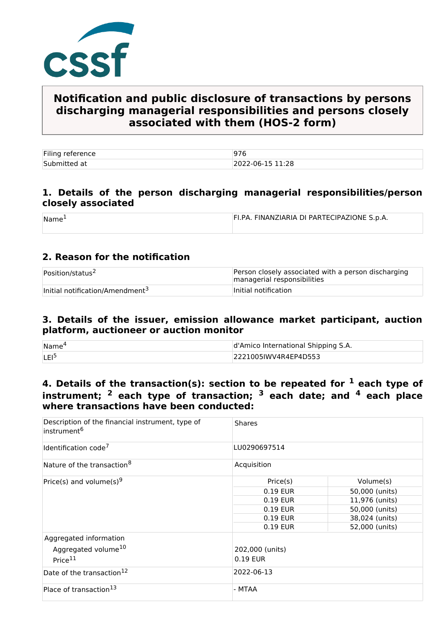

# **Notification and public disclosure of transactions by persons discharging managerial responsibilities and persons closely associated with them (HOS-2 form)**

| Filing reference |                  |
|------------------|------------------|
| Submitted at     | 2022-06-15 11:28 |

### **1. Details of the person discharging managerial responsibilities/person closely associated**

| Name | FI.PA. FINANZIARIA DI PARTECIPAZIONE S.p.A. |
|------|---------------------------------------------|
|      |                                             |

## **2. Reason for the notification**

| Position/status <sup>2</sup>                | Person closely associated with a person discharging<br>managerial responsibilities |
|---------------------------------------------|------------------------------------------------------------------------------------|
| Initial notification/Amendment <sup>3</sup> | Initial notification                                                               |

#### **3. Details of the issuer, emission allowance market participant, auction platform, auctioneer or auction monitor**

| Name <sup>®</sup> | d'Amico International Shipping S.A. |  |
|-------------------|-------------------------------------|--|
| <b>LEI</b>        | 2221005IWV4R4EP4D553                |  |

## **4. Details of the transaction(s): section to be repeated for 1 each type of instrument; 2 each type of transaction; 3 each date; and 4 each place where transactions have been conducted:**

| Description of the financial instrument, type of<br>instrument <sup>6</sup> | <b>Shares</b>   |                |  |
|-----------------------------------------------------------------------------|-----------------|----------------|--|
| Identification code <sup>7</sup>                                            | LU0290697514    |                |  |
| Nature of the transaction <sup>8</sup>                                      | Acquisition     |                |  |
| Price(s) and volume(s) <sup>9</sup>                                         | Price(s)        | Volume(s)      |  |
|                                                                             | 0.19 EUR        | 50,000 (units) |  |
|                                                                             | 0.19 EUR        | 11,976 (units) |  |
|                                                                             | 0.19 EUR        | 50,000 (units) |  |
|                                                                             | 0.19 EUR        | 38,024 (units) |  |
|                                                                             | 0.19 EUR        | 52,000 (units) |  |
| Aggregated information                                                      |                 |                |  |
| Aggregated volume <sup>10</sup>                                             | 202,000 (units) |                |  |
| Price <sup>11</sup>                                                         | 0.19 EUR        |                |  |
| Date of the transaction <sup>12</sup>                                       |                 |                |  |
|                                                                             | 2022-06-13      |                |  |
| Place of transaction <sup>13</sup>                                          | - MTAA          |                |  |